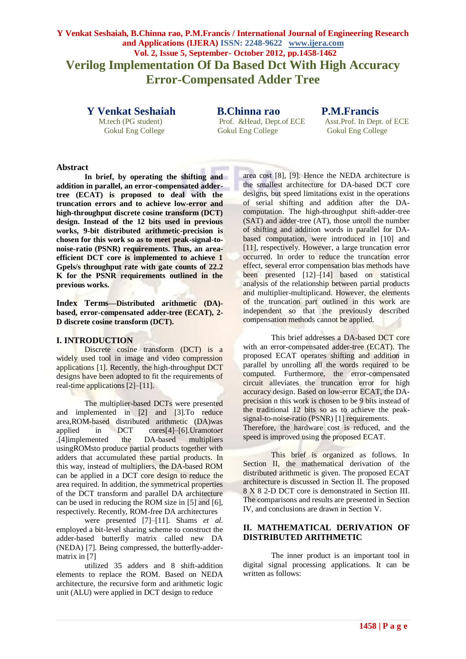# **Y Venkat Seshaiah, B.Chinna rao, P.M.Francis / International Journal of Engineering Research and Applications (IJERA) ISSN: 2248-9622 www.ijera.com Vol. 2, Issue 5, September- October 2012, pp.1458-1462 Verilog Implementation Of Da Based Dct With High Accuracy Error-Compensated Adder Tree**

**Y Venkat Seshaiah B.Chinna rao P.M.Francis**

Gokul Eng College Gokul Eng College Gokul Eng College

M.tech (PG student) Prof. &Head, Dept.of ECE Asst.Prof. In Dept. of ECE

## **Abstract**

**In brief, by operating the shifting and addition in parallel, an error-compensated addertree (ECAT) is proposed to deal with the truncation errors and to achieve low-error and high-throughput discrete cosine transform (DCT) design. Instead of the 12 bits used in previous works, 9-bit distributed arithmetic-precision is chosen for this work so as to meet peak-signal-tonoise-ratio (PSNR) requirements. Thus, an areaefficient DCT core is implemented to achieve 1 Gpels/s throughput rate with gate counts of 22.2 K for the PSNR requirements outlined in the previous works.**

**Index Terms***—***Distributed arithmetic (DA) based, error-compensated adder-tree (ECAT), 2- D discrete cosine transform (DCT).**

#### **I. INTRODUCTION**

Discrete cosine transform (DCT) is a widely used tool in image and video compression applications [1]. Recently, the high-throughput DCT designs have been adopted to fit the requirements of real-time applications [2]–[11].

The multiplier-based DCTs were presented and implemented in [2] and [3].To reduce area,ROM-based distributed arithmetic (DA)was applied in DCT cores[4]–[6].Uramoto*et .*[4]implemented the DA-based multipliers usingROMsto produce partial products together with adders that accumulated these partial products. In this way, instead of multipliers, the DA-based ROM can be applied in a DCT core design to reduce the area required. In addition, the symmetrical properties of the DCT transform and parallel DA architecture can be used in reducing the ROM size in [5] and [6], respectively. Recently, ROM-free DA architectures

were presented [7]–[11]. Shams *et al.*  employed a bit-level sharing scheme to construct the adder-based butterfly matrix called new DA (NEDA) [7]. Being compressed, the butterfly-addermatrix in [7]

utilized 35 adders and 8 shift-addition elements to replace the ROM. Based on NEDA architecture, the recursive form and arithmetic logic unit (ALU) were applied in DCT design to reduce

area cost [8], [9]. Hence the NEDA architecture is the smallest architecture for DA-based DCT core designs, but speed limitations exist in the operations of serial shifting and addition after the DAcomputation. The high-throughput shift-adder-tree (SAT) and adder-tree (AT), those unroll the number of shifting and addition words in parallel for DAbased computation, were introduced in [10] and [11], respectively. However, a large truncation error occurred. In order to reduce the truncation error effect, several error compensation bias methods have been presented [12]–[14] based on statistical analysis of the relationship between partial products and multiplier-multiplicand. However, the elements of the truncation part outlined in this work are independent so that the previously described compensation methods cannot be applied.

This brief addresses a DA-based DCT core with an error-compensated adder-tree (ECAT). The proposed ECAT operates shifting and addition in parallel by unrolling all the words required to be computed. Furthermore, the error-compensated circuit alleviates the truncation error for high accuracy design. Based on low-error ECAT, the DAprecision n this work is chosen to be 9 bits instead of the traditional 12 bits so as to achieve the peaksignal-to-noise-ratio (PSNR) [1] requirements. Therefore, the hardware cost is reduced, and the speed is improved using the proposed ECAT.

This brief is organized as follows. In Section II, the mathematical derivation of the distributed arithmetic is given. The proposed ECAT architecture is discussed in Section II. The proposed 8 X 8 2-D DCT core is demonstrated in Section III. The comparisons and results are presented in Section IV, and conclusions are drawn in Section V.

## **II. MATHEMATICAL DERIVATION OF DISTRIBUTED ARITHMETIC**

The inner product is an important tool in digital signal processing applications. It can be written as follows: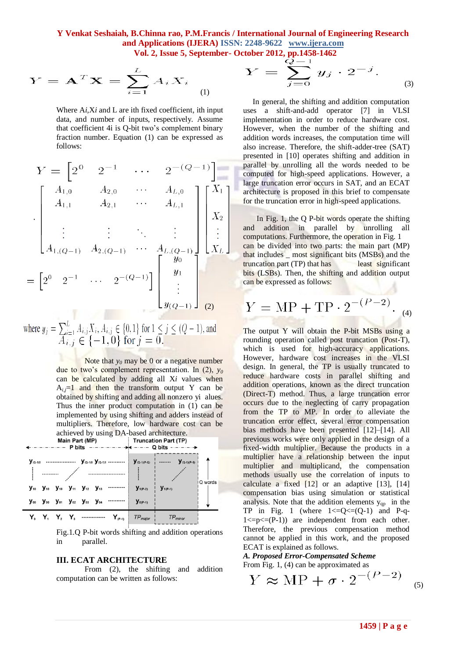**Y Venkat Seshaiah, B.Chinna rao, P.M.Francis / International Journal of Engineering Research and Applications (IJERA) ISSN: 2248-9622 www.ijera.com**

 **Vol. 2, Issue 5, September- October 2012, pp.1458-1462**

$$
Y = \mathbf{A}^T \mathbf{X} = \sum_{i=1}^L A_i X_i
$$
 (1)

Where A*i,*X*i* and L are ith fixed coefficient, ith input data, and number of inputs, respectively. Assume that coefficient 4i is Q-bit two's complement binary fraction number. Equation (1) can be expressed as follows:

$$
Y = \begin{bmatrix} 2^{0} & 2^{-1} & \cdots & 2^{-(Q-1)} \end{bmatrix}
$$
  
\n
$$
\begin{bmatrix} A_{1,0} & A_{2,0} & \cdots & A_{L,0} \\ A_{1,1} & A_{2,1} & \cdots & A_{L,1} \\ \vdots & \vdots & \ddots & \vdots \\ A_{1,(Q-1)} & A_{2,(Q-1)} & \cdots & A_{L,(Q-1)} \end{bmatrix} \begin{bmatrix} X_{1} \\ X_{2} \\ \vdots \\ X_{L} \end{bmatrix}
$$
  
\n
$$
= \begin{bmatrix} 2^{0} & 2^{-1} & \cdots & 2^{-(Q-1)} \end{bmatrix} \begin{bmatrix} y_{0} \\ y_{1} \\ \vdots \\ y_{(Q-1)} \end{bmatrix} \begin{bmatrix} y_{1} \\ y_{2} \\ \vdots \\ y_{(Q-1)} \end{bmatrix} \begin{bmatrix} 0 \\ 0 \\ 0 \\ 0 \end{bmatrix}
$$

where 
$$
y_j = \sum_{i=1}^{L} A_{i,j} X_i, A_{i,j} \in \{0,1\}
$$
 for  $1 \le j \le (Q-1)$ , and  $A_{i,j} \in \{-1,0\}$  for  $j = 0$ .

Note that  $y_0$  may be 0 or a negative number due to two's complement representation. In (2), *y<sup>0</sup>* can be calculated by adding all X*i* values when  $A_{i,j}=1$  and then the transform output Y can be obtained by shifting and adding all nonzero yi alues. Thus the inner product computation in (1) can be implemented by using shifting and adders instead of multipliers. Therefore, low hardware cost can be achieved by using DA-based architecture.<br>Main Part (MP) Truncation Part (TP)<br>Truncation Part (TP)



Fig.1.Q P-bit words shifting and addition operations in parallel.

#### **III. ECAT ARCHITECTURE**

From (2), the shifting and addition computation can be written as follows:

$$
Y = \sum_{j=0}^{Q-1} y_j \cdot 2^{-j}.
$$
 (3)

 In general, the shifting and addition computation uses a shift-and-add operator [7] in VLSI implementation in order to reduce hardware cost. However, when the number of the shifting and addition words increases, the computation time will also increase. Therefore, the shift-adder-tree (SAT) presented in [10] operates shifting and addition in parallel by unrolling all the words needed to be computed for high-speed applications. However, a large truncation error occurs in SAT, and an ECAT architecture is proposed in this brief to compensate for the truncation error in high-speed applications.

 In Fig. 1, the Q P-bit words operate the shifting and addition in parallel by unrolling all computations. Furthermore, the operation in Fig. 1 can be divided into two parts: the main part (MP) that includes \_ most significant bits (MSBs) and the truncation part (TP) that has least significant bits (LSBs). Then, the shifting and addition output can be expressed as follows:

$$
Y = \text{MP} + \text{TP} \cdot 2^{-(P-2)}.
$$
 (4)

The output Y will obtain the P-bit MSBs using a rounding operation called post truncation (Post-T), which is used for high-accuracy applications. However, hardware cost increases in the VLSI design. In general, the TP is usually truncated to reduce hardware costs in parallel shifting and addition operations, known as the direct truncation (Direct-T) method. Thus, a large truncation error occurs due to the neglecting of carry propagation from the TP to MP. In order to alleviate the truncation error effect, several error compensation bias methods have been presented [12]–[14]. All previous works were only applied in the design of a fixed-width multiplier. Because the products in a multiplier have a relationship between the input multiplier and multiplicand, the compensation methods usually use the correlation of inputs to calculate a fixed [12] or an adaptive [13], [14] compensation bias using simulation or statistical analysis. Note that the addition elements  $y_{qp}$  in the TP in Fig. 1 (where  $1 \leq Q \leq (Q-1)$  and P-q- $1 \le p \le (P-1)$  are independent from each other. Therefore, the previous compensation method cannot be applied in this work, and the proposed ECAT is explained as follows.

*A. Proposed Error-Compensated Scheme* From Fig. 1, (4) can be approximated as

$$
Y \approx \text{MP} + \sigma \cdot 2^{-(P-2)} \quad \text{so}
$$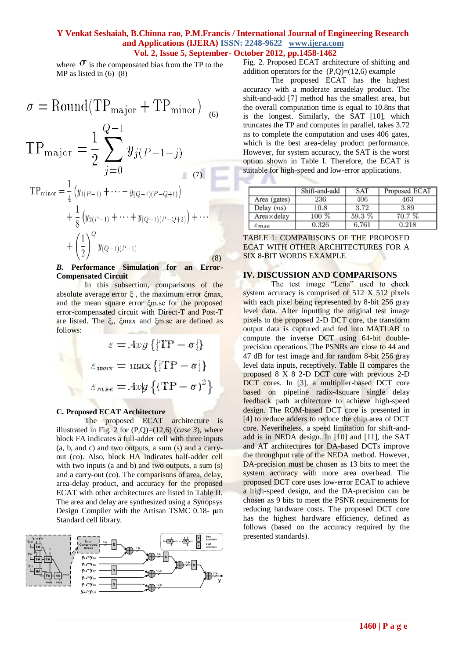## **Y Venkat Seshaiah, B.Chinna rao, P.M.Francis / International Journal of Engineering Research and Applications (IJERA) ISSN: 2248-9622 www.ijera.com Vol. 2, Issue 5, September- October 2012, pp.1458-1462**

a,

where  $\sigma$  is the compensated bias from the TP to the MP as listed in  $(6)$ – $(8)$ 

$$
\sigma = \text{Round}(\text{TP}_{\text{major}} + \text{TP}_{\text{minor}}) \quad (6)
$$
\n
$$
\text{TP}_{\text{major}} = \frac{1}{2} \sum_{j=0}^{Q-1} y_j (P-1-j)
$$
\n
$$
\text{TP}_{\text{minor}} = \frac{1}{4} (y_{1(P-1)} + \dots + y_{(Q-1)(P-Q+1)}) + \frac{1}{8} (y_{2(P-1)} + \dots + y_{(Q-1)(P-Q+2)}) + \dots + \left(\frac{1}{2}\right)^Q y_{(Q-1)(P-1)}
$$
\n
$$
(8)
$$

#### *B.* **Performance Simulation for an Error-Compensated Circuit**

In this subsection, comparisons of the absolute average error  $\xi$ , the maximum error  $\xi$ max, and the mean square error ξm.se for the proposed error-compensated circuit with Direct-T and Post-T are listed. The ξ,, ξmax and ξm.se are defined as follows:

$$
\varepsilon = Avg \{|\text{TP} - \sigma|\}
$$

$$
\varepsilon_{\text{max}} = \max \{|\text{TP} - \sigma|\}
$$

$$
\varepsilon_{\text{max}} = Avg \{(\text{TP} - \sigma)^2\}
$$

## **C. Proposed ECAT Architecture**

The proposed ECAT architecture is illustrated in Fig. 2 for  $(P,Q)=(12,6)$  (*case 3*), where block FA indicates a full-adder cell with three inputs (a, b, and c) and two outputs, a sum (s) and a carryout (co). Also, block HA indicates half-adder cell with two inputs (a and b) and two outputs, a sum  $(s)$ and a carry-out (co). The comparisons of area, delay, area-delay product, and accuracy for the proposed ECAT with other architectures are listed in Table II. The area and delay are synthesized using a Synopsys Design Compiler with the Artisan TSMC 0.18- **μ**m Standard cell library.



Fig. 2. Proposed ECAT architecture of shifting and addition operators for the  $(P,Q)=(12,6)$  example

The proposed ECAT has the highest accuracy with a moderate areadelay product. The shift-and-add [7] method has the smallest area, but the overall computation time is equal to 10.8ns that is the longest. Similarly, the SAT [10], which truncates the TP and computes in parallel, takes 3.72 ns to complete the computation and uses 406 gates, which is the best area-delay product performance. However, for system accuracy, the SAT is the worst option shown in Table I. Therefore, the ECAT is suitable for high-speed and low-error applications.

|                     | Shift-and-add | SAT   | Proposed ECAT |
|---------------------|---------------|-------|---------------|
| Area (gates)        | 236           | 406   | 463           |
| Delay $(ns)$        | 10.8          | 3.72  | 3.89          |
| Area×delav          | $100\ \%$     | 59.3% | 70.7 %        |
| $\varepsilon_{mse}$ | 0.326         | 6.761 | 0.218         |

TABLE 1: COMPARISONS OF THE PROPOSED ECAT WITH OTHER ARCHITECTURES FOR A SIX 8-BIT WORDS EXAMPLE

#### **IV. DISCUSSION AND COMPARISONS**

The test image "Lena" used to check system accuracy is comprised of 512 X 512 pixels with each pixel being represented by 8-bit 256 gray level data. After inputting the original test image pixels to the proposed 2-D DCT core, the transform output data is captured and fed into MATLAB to compute the inverse DCT using 64-bit doubleprecision operations. The PSNRs are close to 44 and 47 dB for test image and for random 8-bit 256 gray level data inputs, receptively. Table II compares the proposed 8 X 8 2-D DCT core with previous 2-D DCT cores. In [3], a multiplier-based DCT core based on pipeline radix-4square single delay feedback path architecture to achieve high-speed design. The ROM-based DCT core is presented in [4] to reduce adders to reduce the chip area of DCT core. Nevertheless, a speed limitation for shift-andadd is in NEDA design. In [10] and [11], the SAT and AT architectures for DA-based DCTs improve the throughput rate of the NEDA method. However, DA-precision must be chosen as 13 bits to meet the system accuracy with more area overhead. The proposed DCT core uses low-error ECAT to achieve a high-speed design, and the DA-precision can be chosen as 9 bits to meet the PSNR requirements for reducing hardware costs. The proposed DCT core has the highest hardware efficiency, defined as follows (based on the accuracy required by the presented standards).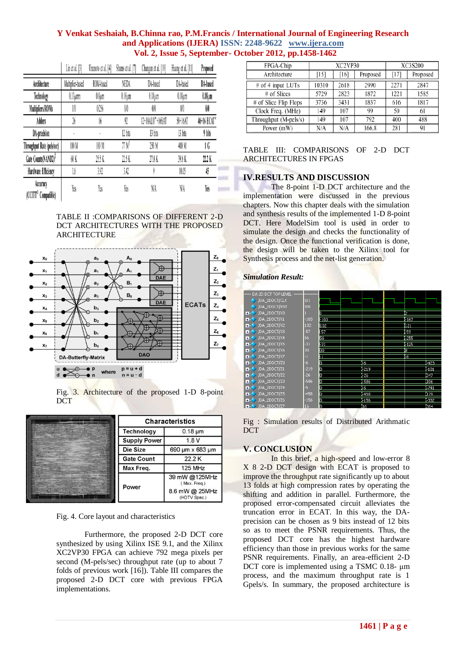## **Y Venkat Seshaiah, B.Chinna rao, P.M.Francis / International Journal of Engineering Research and Applications (IJERA) ISSN: 2248-9622 www.ijera.com Vol. 2, Issue 5, September- October 2012, pp.1458-1462**

|                                             | Lin et al. [3]   | Uramoto et al. [4] | Shams et al. [7]  | Chungan et al. [10] | Huang et al. [11] | Proposed     |
|---------------------------------------------|------------------|--------------------|-------------------|---------------------|-------------------|--------------|
| Architecture                                | Multiplier-based | ROM-based          | NEDA              | DA-based            | DA-based          | DA-based     |
| Technology                                  | $0.13 \mu$ mm    | $0.8 \mu m$        | $0.18 \mu m$      | $0.18 \mu m$        | $0.18 \mu m$      | $0.18 \mu m$ |
| Multipliers/ROMs                            | 1/0              | 0/256              | 00                | 00                  | 00                | $00\,$       |
| Adders                                      | 26               | 16                 | 92                | 12+18ALU*+16SAT     | 50+16AT           | 46+16 ECAT*  |
| DA-precision                                |                  |                    | 12 bits           | 13 bits             | 13 bits           | 9 bits       |
| Throughput Rate (pels/sec)                  | 100 M            | 100 M              | 77 M <sup>†</sup> | 250 M               | 400 M             | 1 G          |
| Gate Counts(NAND2) <sup>1</sup>             | 60 K             | 25.5 K             | 22.5 K            | 27.8 K              | 39.8 K            | 22.2 K       |
| Hardware Efficiency                         | 1,6              | 3.92               | 3.42              |                     | 10.05             | 45           |
| Accuracy<br>(CCITT <sup>o</sup> Compatible) | Yes              | Yes                | Yes               | NA                  | NA                | Yes          |

TABLE II :COMPARISONS OF DIFFERENT 2-D DCT ARCHITECTURES WITH THE PROPOSED **ARCHITECTURE** 



Fig. 3. Architecture of the proposed 1-D 8-point DCT

| <b>Characteristics</b> |                                                                 |  |  |
|------------------------|-----------------------------------------------------------------|--|--|
| <b>Technology</b>      | $0.18 \mu m$                                                    |  |  |
| <b>Supply Power</b>    | 1.8V                                                            |  |  |
| Die Size               | 690 µm x 683 µm                                                 |  |  |
| <b>Gate Count</b>      | 22.2K                                                           |  |  |
| Max Freg.              | 125 MHz                                                         |  |  |
| Power                  | 39 mW @125MHz<br>(Max. Freq.)<br>8.6 mW @ 25MHz<br>(HDTV Spec.) |  |  |

Fig. 4. Core layout and characteristics

Furthermore, the proposed 2-D DCT core synthesized by using Xilinx ISE 9.1, and the Xilinx XC2VP30 FPGA can achieve 792 mega pixels per second (M-pels/sec) throughput rate (up to about 7 folds of previous work [16]). Table III compares the proposed 2-D DCT core with previous FPGA implementations.

| FPGA-Chip             | XC2VP30 |      |          | XC3S200 |          |  |
|-----------------------|---------|------|----------|---------|----------|--|
| Architecture          | [15]    | [16] | Proposed | [17]    | Proposed |  |
| # of 4 input LUTs     | 10310   | 2618 | 2990     | 2271    | 2847     |  |
| # of Slices           | 5729    | 2823 | 1872     | 1221    | 1585     |  |
| # of Slice Flip Flops | 3736    | 3431 | 1837     | 616     | 1817     |  |
| Clock Freq. (MHz)     | 149     | 107  | 99       | 50      | 61       |  |
| Throughput (M-pels/s) | 149     | 107  | 792      | 400     | 488      |  |
| Power (mW)            | N/A     | N/A  | 166.8    | 281     | 91       |  |

TABLE III: COMPARISONS OF 2-D DCT ARCHITECTURES IN FPGAS

## **IV.RESULTS AND DISCUSSION**

The 8-point 1-D DCT architecture and the implementation were discussed in the previous chapters. Now this chapter deals with the simulation and synthesis results of the implemented 1-D 8-point DCT. Here ModelSim tool is used in order to simulate the design and checks the functionality of the design. Once the functional verification is done, the design will be taken to the Xilinx tool for Synthesis process and the net-list generation.

## *Simulation Result:*

| DA 2D DCT TOP LEVEL            |                 |       |        |      |        |
|--------------------------------|-----------------|-------|--------|------|--------|
|                                |                 |       |        |      |        |
| /DA_2DDCT/CLK                  | St <sub>1</sub> |       |        |      |        |
| /DA_2DDCT/RST                  | St <sub>0</sub> |       |        |      |        |
| /DA_2DDCT/X0<br>Ŧ.             |                 |       |        | 12   |        |
| /DA_2DDCT/X1<br>Ŧ.             | $-103$          | (-103 |        | -167 |        |
| /DA_2DDCT/X2<br>٠.             | 102             | itoz  |        | 121  |        |
| /DA_2DDCT/X3<br>$+ -$          | -57             | 57    |        | 59   |        |
| /DA_2DDCT/X4<br>$+ -$          | 56              | 56    |        | -255 |        |
| /DA_2DDCT/X5<br>Ŧ.             | $-31$           | -31   |        | -125 |        |
| /DA_2DDCT/X6<br>H.             | 30              | ļ30   |        | σ    |        |
| /DA_2DDCT/X7<br>Ŧ.             | $-1$            | π     |        | 68   |        |
| /DA_2DDCT/Z0<br>$+ -$          | $-6$            | л     | Ŧ      |      | -423   |
| /DA_2DDCT/Z1<br>$+1$           | $-219$          | 'n    | $-219$ |      | $-101$ |
| /DA_2DDCT/Z2<br>$\blacksquare$ | $-26$           | ŋ     | $-26$  |      | 347    |
| /DA_2DDCT/Z3<br>$+$            | -586            | ij.   | -586   |      | 006    |
| /DA_2DDCT/Z4<br>Ŧ.             | -5              | 'n    | Œ      |      | -741   |
| /DA_2DDCT/Z5<br>$+$            | $-458$          | 'n    | $-458$ |      | 179    |
| /DA_2DDCT/Z6<br>$+1$           | $-156$          | Ō     | $-156$ |      | -332   |
| /DA 2DDCT/Z7<br>$\overline{+}$ | 16              | 'n    | īδ     |      | 384    |

Fig : Simulation results of Distributed Arithmatic DCT

## **V. CONCLUSION**

In this brief, a high-speed and low-error 8 X 8 2-D DCT design with ECAT is proposed to improve the throughput rate significantly up to about 13 folds at high compression rates by operating the shifting and addition in parallel. Furthermore, the proposed error-compensated circuit alleviates the truncation error in ECAT. In this way, the DAprecision can be chosen as 9 bits instead of 12 bits so as to meet the PSNR requirements. Thus, the proposed DCT core has the highest hardware efficiency than those in previous works for the same PSNR requirements. Finally, an area-efficient 2-D DCT core is implemented using a TSMC 0.18- μm process, and the maximum throughput rate is 1 Gpels/s. In summary, the proposed architecture is